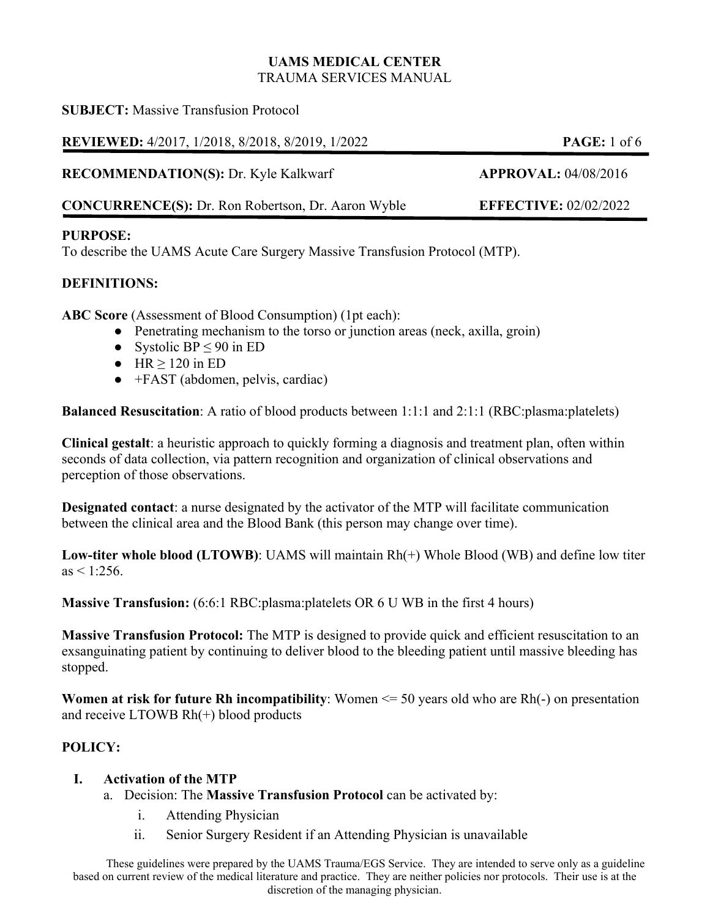#### **UAMS MEDICAL CENTER**  TRAUMA SERVICES MANUAL

**SUBJECT:** Massive Transfusion Protocol

**REVIEWED:** 4/2017, 1/2018, 8/2018, 8/2019, 1/2022 **PAGE:** 1 of 6

**RECOMMENDATION(S):** Dr. Kyle Kalkwarf **APPROVAL:** 04/08/2016

**CONCURRENCE(S):** Dr. Ron Robertson, Dr. Aaron Wyble **EFFECTIVE:** 02/02/2022

## **PURPOSE:**

To describe the UAMS Acute Care Surgery Massive Transfusion Protocol (MTP).

## **DEFINITIONS:**

**ABC Score** (Assessment of Blood Consumption) (1pt each):

- Penetrating mechanism to the torso or junction areas (neck, axilla, groin)
- Systolic BP  $\leq 90$  in ED
- $\bullet$  HR  $\geq$  120 in ED
- $\bullet$  +FAST (abdomen, pelvis, cardiac)

**Balanced Resuscitation**: A ratio of blood products between 1:1:1 and 2:1:1 (RBC:plasma:platelets)

**Clinical gestalt**: a heuristic approach to quickly forming a diagnosis and treatment plan, often within seconds of data collection, via pattern recognition and organization of clinical observations and perception of those observations.

**Designated contact**: a nurse designated by the activator of the MTP will facilitate communication between the clinical area and the Blood Bank (this person may change over time).

**Low-titer whole blood (LTOWB)**: UAMS will maintain Rh(+) Whole Blood (WB) and define low titer  $as < 1.256$ 

**Massive Transfusion:** (6:6:1 RBC:plasma:platelets OR 6 U WB in the first 4 hours)

**Massive Transfusion Protocol:** The MTP is designed to provide quick and efficient resuscitation to an exsanguinating patient by continuing to deliver blood to the bleeding patient until massive bleeding has stopped.

**Women at risk for future Rh incompatibility**: Women <= 50 years old who are Rh(-) on presentation and receive LTOWB Rh(+) blood products

## **POLICY:**

## **I. Activation of the MTP**

- a. Decision: The **Massive Transfusion Protocol** can be activated by:
	- i. Attending Physician
	- ii. Senior Surgery Resident if an Attending Physician is unavailable

These guidelines were prepared by the UAMS Trauma/EGS Service. They are intended to serve only as a guideline based on current review of the medical literature and practice. They are neither policies nor protocols. Their use is at the discretion of the managing physician.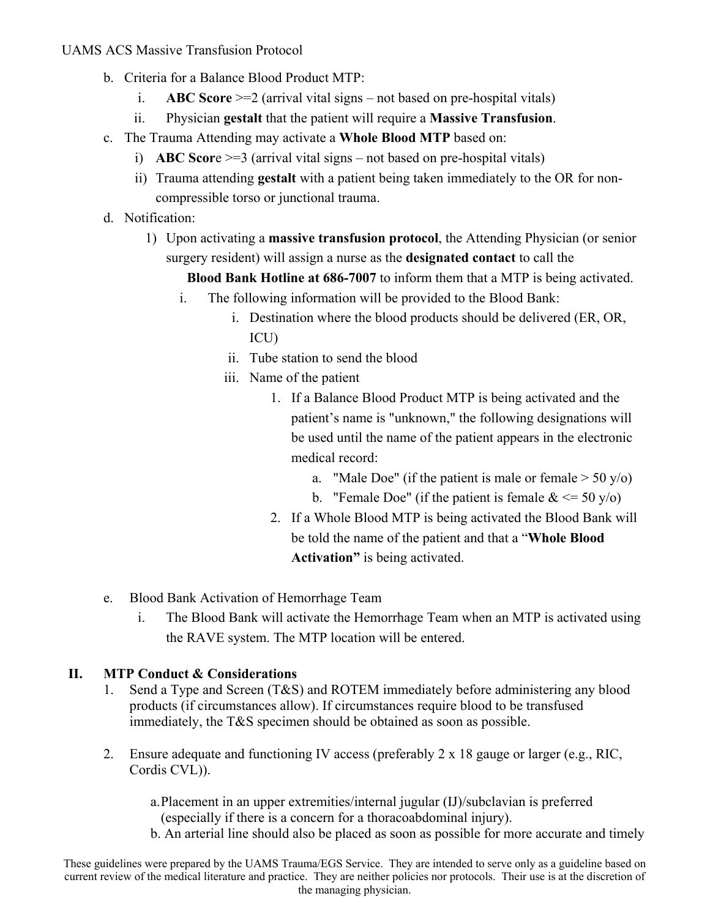### UAMS ACS Massive Transfusion Protocol

- b. Criteria for a Balance Blood Product MTP:
	- i. **ABC Score** >=2 (arrival vital signs not based on pre-hospital vitals)
	- ii. Physician **gestalt** that the patient will require a **Massive Transfusion**.
- c. The Trauma Attending may activate a **Whole Blood MTP** based on:
	- i) **ABC Scor**e >=3 (arrival vital signs not based on pre-hospital vitals)
	- ii) Trauma attending **gestalt** with a patient being taken immediately to the OR for noncompressible torso or junctional trauma.
- d. Notification:
	- 1) Upon activating a **massive transfusion protocol**, the Attending Physician (or senior surgery resident) will assign a nurse as the **designated contact** to call the

**Blood Bank Hotline at 686-7007** to inform them that a MTP is being activated.

- i. The following information will be provided to the Blood Bank:
	- i. Destination where the blood products should be delivered (ER, OR, ICU)
	- ii. Tube station to send the blood
	- iii. Name of the patient
		- 1. If a Balance Blood Product MTP is being activated and the patient's name is "unknown," the following designations will be used until the name of the patient appears in the electronic medical record:
			- a. "Male Doe" (if the patient is male or female  $> 50$  y/o)
			- b. "Female Doe" (if the patient is female  $<= 50$  y/o)
		- 2. If a Whole Blood MTP is being activated the Blood Bank will be told the name of the patient and that a "**Whole Blood Activation"** is being activated.
- e. Blood Bank Activation of Hemorrhage Team
	- i. The Blood Bank will activate the Hemorrhage Team when an MTP is activated using the RAVE system. The MTP location will be entered.

### **II. MTP Conduct & Considerations**

- 1. Send a Type and Screen (T&S) and ROTEM immediately before administering any blood products (if circumstances allow). If circumstances require blood to be transfused immediately, the T&S specimen should be obtained as soon as possible.
- 2. Ensure adequate and functioning IV access (preferably  $2 \times 18$  gauge or larger (e.g., RIC, Cordis CVL)).

a.Placement in an upper extremities/internal jugular (IJ)/subclavian is preferred (especially if there is a concern for a thoracoabdominal injury).

b. An arterial line should also be placed as soon as possible for more accurate and timely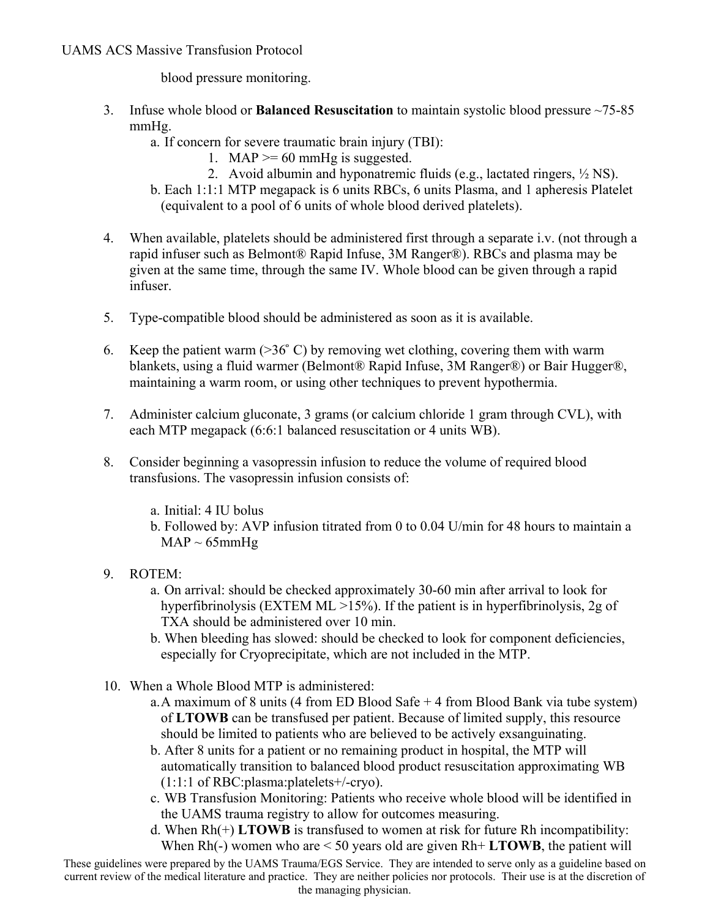#### UAMS ACS Massive Transfusion Protocol

blood pressure monitoring.

- 3. Infuse whole blood or **Balanced Resuscitation** to maintain systolic blood pressure ~75-85 mmHg.
	- a. If concern for severe traumatic brain injury (TBI):
		- 1. MAP  $>= 60$  mmHg is suggested.
		- 2. Avoid albumin and hyponatremic fluids (e.g., lactated ringers, ½ NS).
	- b. Each 1:1:1 MTP megapack is 6 units RBCs, 6 units Plasma, and 1 apheresis Platelet (equivalent to a pool of 6 units of whole blood derived platelets).
- 4. When available, platelets should be administered first through a separate i.v. (not through a rapid infuser such as Belmont® Rapid Infuse, 3M Ranger®). RBCs and plasma may be given at the same time, through the same IV. Whole blood can be given through a rapid infuser.
- 5. Type-compatible blood should be administered as soon as it is available.
- 6. Keep the patient warm  $(>=36^{\circ} \text{ C})$  by removing wet clothing, covering them with warm blankets, using a fluid warmer (Belmont® Rapid Infuse, 3M Ranger®) or Bair Hugger®, maintaining a warm room, or using other techniques to prevent hypothermia.
- 7. Administer calcium gluconate, 3 grams (or calcium chloride 1 gram through CVL), with each MTP megapack (6:6:1 balanced resuscitation or 4 units WB).
- 8. Consider beginning a vasopressin infusion to reduce the volume of required blood transfusions. The vasopressin infusion consists of:
	- a. Initial: 4 IU bolus
	- b. Followed by: AVP infusion titrated from 0 to 0.04 U/min for 48 hours to maintain a  $MAP \sim 65mmHg$
- 9. ROTEM:
	- a. On arrival: should be checked approximately 30-60 min after arrival to look for hyperfibrinolysis (EXTEM ML >15%). If the patient is in hyperfibrinolysis, 2g of TXA should be administered over 10 min.
	- b. When bleeding has slowed: should be checked to look for component deficiencies, especially for Cryoprecipitate, which are not included in the MTP.
- 10. When a Whole Blood MTP is administered:
	- a.A maximum of 8 units (4 from ED Blood Safe + 4 from Blood Bank via tube system) of **LTOWB** can be transfused per patient. Because of limited supply, this resource should be limited to patients who are believed to be actively exsanguinating.
	- b. After 8 units for a patient or no remaining product in hospital, the MTP will automatically transition to balanced blood product resuscitation approximating WB (1:1:1 of RBC:plasma:platelets+/-cryo).
	- c. WB Transfusion Monitoring: Patients who receive whole blood will be identified in the UAMS trauma registry to allow for outcomes measuring.
	- d. When Rh(+) **LTOWB** is transfused to women at risk for future Rh incompatibility: When  $Rh(-)$  women who are  $\leq 50$  years old are given  $Rh+LTOWB$ , the patient will

These guidelines were prepared by the UAMS Trauma/EGS Service. They are intended to serve only as a guideline based on current review of the medical literature and practice. They are neither policies nor protocols. Their use is at the discretion of the managing physician.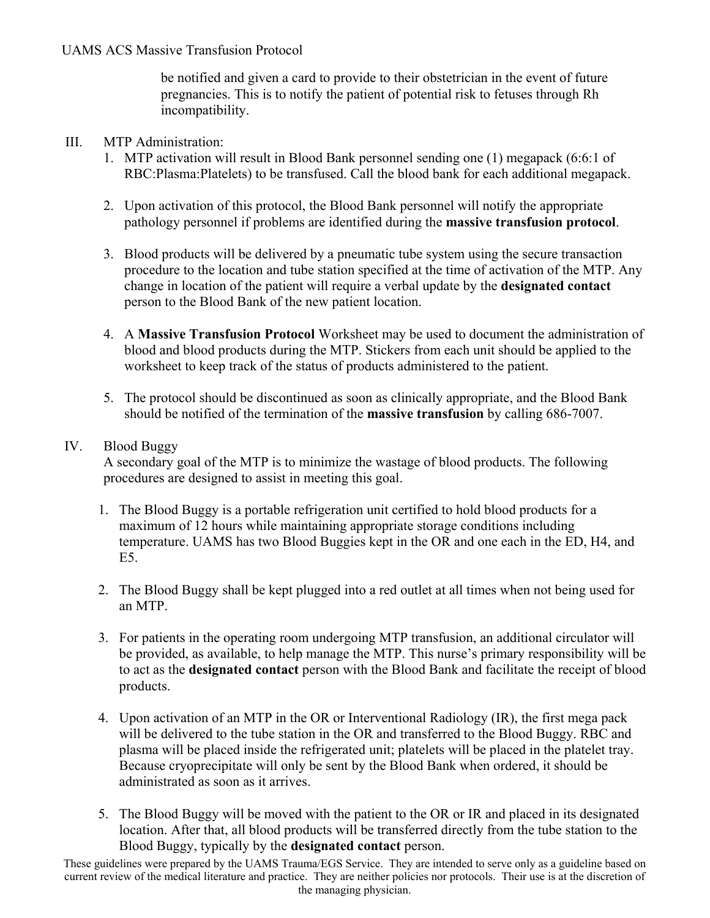be notified and given a card to provide to their obstetrician in the event of future pregnancies. This is to notify the patient of potential risk to fetuses through Rh incompatibility.

### III. MTP Administration:

- 1. MTP activation will result in Blood Bank personnel sending one (1) megapack (6:6:1 of RBC:Plasma:Platelets) to be transfused. Call the blood bank for each additional megapack.
- 2. Upon activation of this protocol, the Blood Bank personnel will notify the appropriate pathology personnel if problems are identified during the **massive transfusion protocol**.
- 3. Blood products will be delivered by a pneumatic tube system using the secure transaction procedure to the location and tube station specified at the time of activation of the MTP. Any change in location of the patient will require a verbal update by the **designated contact** person to the Blood Bank of the new patient location.
- 4. A **Massive Transfusion Protocol** Worksheet may be used to document the administration of blood and blood products during the MTP. Stickers from each unit should be applied to the worksheet to keep track of the status of products administered to the patient.
- 5. The protocol should be discontinued as soon as clinically appropriate, and the Blood Bank should be notified of the termination of the **massive transfusion** by calling 686-7007.

## IV. Blood Buggy

A secondary goal of the MTP is to minimize the wastage of blood products. The following procedures are designed to assist in meeting this goal.

- 1. The Blood Buggy is a portable refrigeration unit certified to hold blood products for a maximum of 12 hours while maintaining appropriate storage conditions including temperature. UAMS has two Blood Buggies kept in the OR and one each in the ED, H4, and E5.
- 2. The Blood Buggy shall be kept plugged into a red outlet at all times when not being used for an MTP.
- 3. For patients in the operating room undergoing MTP transfusion, an additional circulator will be provided, as available, to help manage the MTP. This nurse's primary responsibility will be to act as the **designated contact** person with the Blood Bank and facilitate the receipt of blood products.
- 4. Upon activation of an MTP in the OR or Interventional Radiology (IR), the first mega pack will be delivered to the tube station in the OR and transferred to the Blood Buggy. RBC and plasma will be placed inside the refrigerated unit; platelets will be placed in the platelet tray. Because cryoprecipitate will only be sent by the Blood Bank when ordered, it should be administrated as soon as it arrives.
- 5. The Blood Buggy will be moved with the patient to the OR or IR and placed in its designated location. After that, all blood products will be transferred directly from the tube station to the Blood Buggy, typically by the **designated contact** person.

These guidelines were prepared by the UAMS Trauma/EGS Service. They are intended to serve only as a guideline based on current review of the medical literature and practice. They are neither policies nor protocols. Their use is at the discretion of the managing physician.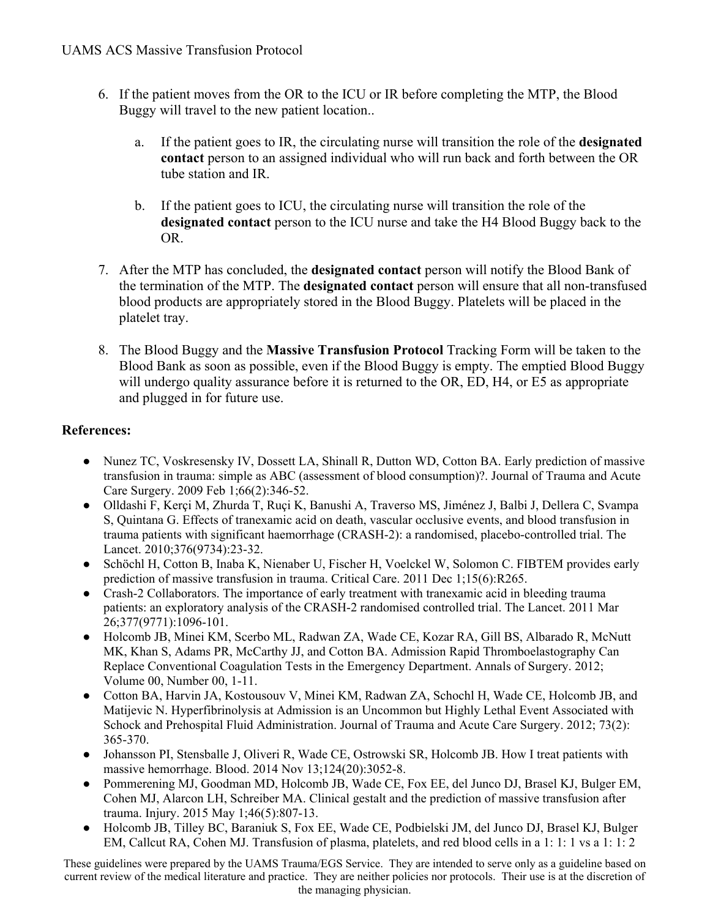- 6. If the patient moves from the OR to the ICU or IR before completing the MTP, the Blood Buggy will travel to the new patient location..
	- a. If the patient goes to IR, the circulating nurse will transition the role of the **designated contact** person to an assigned individual who will run back and forth between the OR tube station and IR.
	- b. If the patient goes to ICU, the circulating nurse will transition the role of the **designated contact** person to the ICU nurse and take the H4 Blood Buggy back to the OR.
- 7. After the MTP has concluded, the **designated contact** person will notify the Blood Bank of the termination of the MTP. The **designated contact** person will ensure that all non-transfused blood products are appropriately stored in the Blood Buggy. Platelets will be placed in the platelet tray.
- 8. The Blood Buggy and the **Massive Transfusion Protocol** Tracking Form will be taken to the Blood Bank as soon as possible, even if the Blood Buggy is empty. The emptied Blood Buggy will undergo quality assurance before it is returned to the OR, ED, H4, or E5 as appropriate and plugged in for future use.

# **References:**

- Nunez TC, Voskresensky IV, Dossett LA, Shinall R, Dutton WD, Cotton BA. Early prediction of massive transfusion in trauma: simple as ABC (assessment of blood consumption)?. Journal of Trauma and Acute Care Surgery. 2009 Feb 1;66(2):346-52.
- Olldashi F, Kerçi M, Zhurda T, Ruçi K, Banushi A, Traverso MS, Jiménez J, Balbi J, Dellera C, Svampa S, Quintana G. Effects of tranexamic acid on death, vascular occlusive events, and blood transfusion in trauma patients with significant haemorrhage (CRASH-2): a randomised, placebo-controlled trial. The Lancet. 2010;376(9734):23-32.
- Schöchl H, Cotton B, Inaba K, Nienaber U, Fischer H, Voelckel W, Solomon C. FIBTEM provides early prediction of massive transfusion in trauma. Critical Care. 2011 Dec 1;15(6):R265.
- Crash-2 Collaborators. The importance of early treatment with tranexamic acid in bleeding trauma patients: an exploratory analysis of the CRASH-2 randomised controlled trial. The Lancet. 2011 Mar 26;377(9771):1096-101.
- Holcomb JB, Minei KM, Scerbo ML, Radwan ZA, Wade CE, Kozar RA, Gill BS, Albarado R, McNutt MK, Khan S, Adams PR, McCarthy JJ, and Cotton BA. Admission Rapid Thromboelastography Can Replace Conventional Coagulation Tests in the Emergency Department. Annals of Surgery. 2012; Volume 00, Number 00, 1-11.
- Cotton BA, Harvin JA, Kostousouv V, Minei KM, Radwan ZA, Schochl H, Wade CE, Holcomb JB, and Matijevic N. Hyperfibrinolysis at Admission is an Uncommon but Highly Lethal Event Associated with Schock and Prehospital Fluid Administration. Journal of Trauma and Acute Care Surgery. 2012; 73(2): 365-370.
- Johansson PI, Stensballe J, Oliveri R, Wade CE, Ostrowski SR, Holcomb JB. How I treat patients with massive hemorrhage. Blood. 2014 Nov 13;124(20):3052-8.
- Pommerening MJ, Goodman MD, Holcomb JB, Wade CE, Fox EE, del Junco DJ, Brasel KJ, Bulger EM, Cohen MJ, Alarcon LH, Schreiber MA. Clinical gestalt and the prediction of massive transfusion after trauma. Injury. 2015 May 1;46(5):807-13.
- Holcomb JB, Tilley BC, Baraniuk S, Fox EE, Wade CE, Podbielski JM, del Junco DJ, Brasel KJ, Bulger EM, Callcut RA, Cohen MJ. Transfusion of plasma, platelets, and red blood cells in a 1: 1: 1 vs a 1: 1: 2

These guidelines were prepared by the UAMS Trauma/EGS Service. They are intended to serve only as a guideline based on current review of the medical literature and practice. They are neither policies nor protocols. Their use is at the discretion of the managing physician.